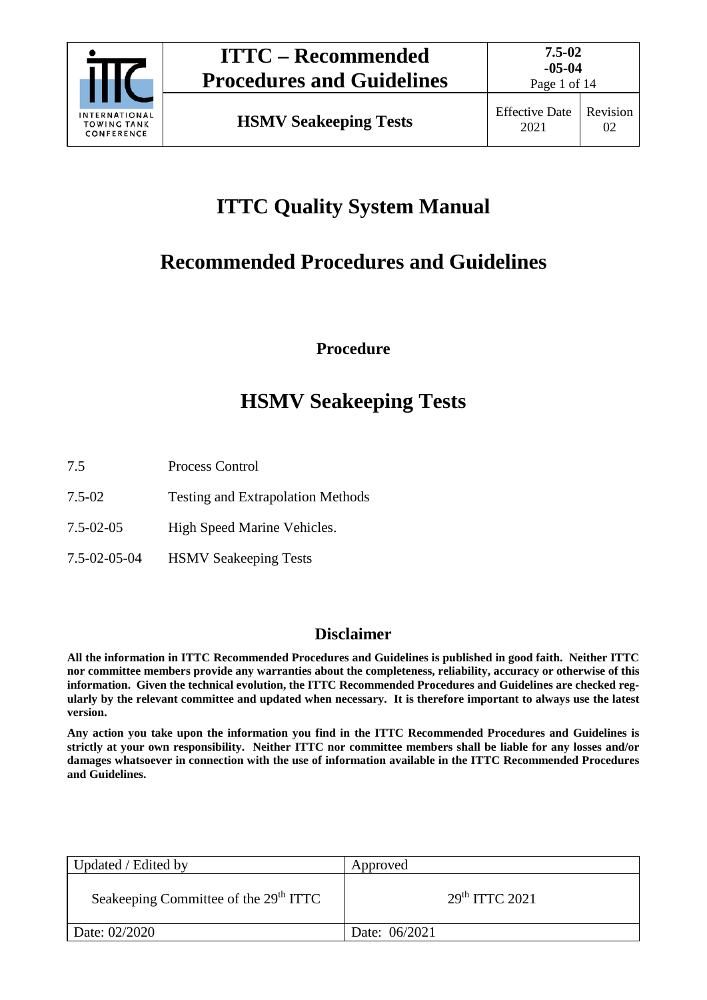

Page 1 of 14

# **ITTC Quality System Manual**

# **Recommended Procedures and Guidelines**

**Procedure**

# **HSMV Seakeeping Tests**

- 7.5 Process Control
- 7.5-02 Testing and Extrapolation Methods
- 7.5-02-05 High Speed Marine Vehicles.
- 7.5-02-05-04 HSMV Seakeeping Tests

# **Disclaimer**

**All the information in ITTC Recommended Procedures and Guidelines is published in good faith. Neither ITTC nor committee members provide any warranties about the completeness, reliability, accuracy or otherwise of this information. Given the technical evolution, the ITTC Recommended Procedures and Guidelines are checked regularly by the relevant committee and updated when necessary. It is therefore important to always use the latest version.**

**Any action you take upon the information you find in the ITTC Recommended Procedures and Guidelines is strictly at your own responsibility. Neither ITTC nor committee members shall be liable for any losses and/or damages whatsoever in connection with the use of information available in the ITTC Recommended Procedures and Guidelines.**

| Updated / Edited by                               | Approved                   |
|---------------------------------------------------|----------------------------|
| Seakeeping Committee of the 29 <sup>th</sup> ITTC | 29 <sup>th</sup> TTTC 2021 |
| Date: 02/2020                                     | Date: 06/2021              |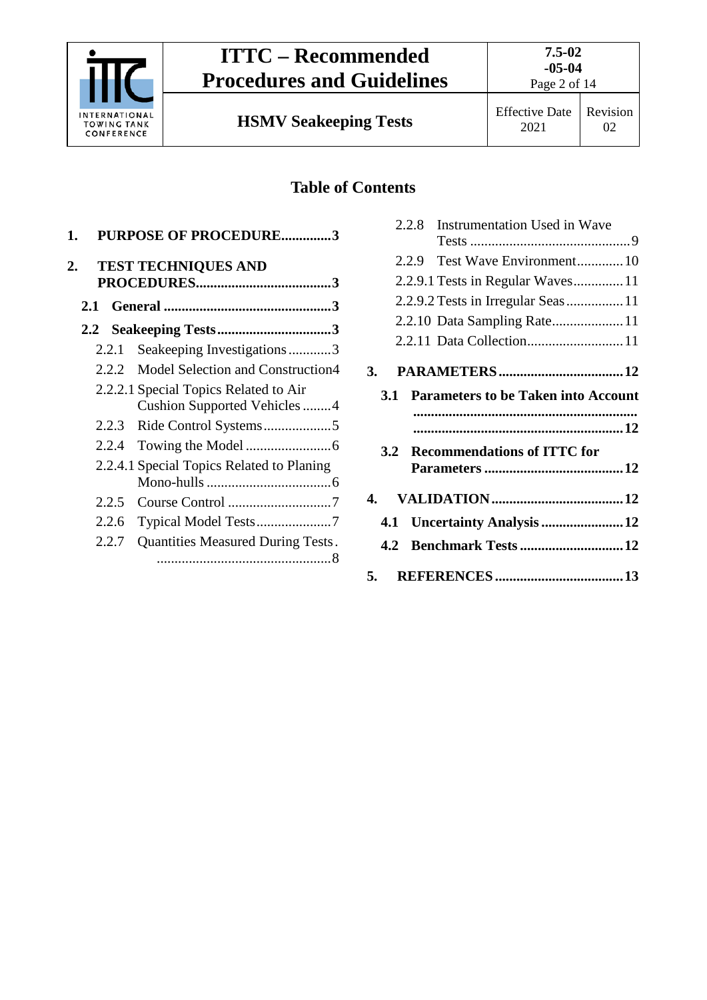

# **ITTC – Recommended Procedures and Guidelines**

Page 2 of 14

02

**HSMV Seakeeping Tests** Effective Date

# **Table of Contents**

| 1.  |       | <b>PURPOSE OF PROCEDURE3</b>              |
|-----|-------|-------------------------------------------|
| 2.  |       | <b>TEST TECHNIQUES AND</b>                |
| 2.1 |       |                                           |
|     |       |                                           |
|     | 2.2.1 | Seakeeping Investigations3                |
|     | 2.2.2 | Model Selection and Construction4         |
|     |       | 2.2.2.1 Special Topics Related to Air     |
|     |       | Cushion Supported Vehicles4               |
|     | 2.2.3 | Ride Control Systems5                     |
|     | 2.2.4 |                                           |
|     |       | 2.2.4.1 Special Topics Related to Planing |
|     |       |                                           |
|     | 2.2.5 |                                           |
|     | 2.2.6 |                                           |
|     | 2.2.7 | Quantities Measured During Tests.         |

|     | 2.2.8      | Instrumentation Used in Wave               |  |
|-----|------------|--------------------------------------------|--|
|     |            |                                            |  |
|     |            | 2.2.9 Test Wave Environment10              |  |
|     |            | 2.2.9.1 Tests in Regular Waves11           |  |
|     |            |                                            |  |
|     |            | 2.2.10 Data Sampling Rate11                |  |
|     |            | 2.2.11 Data Collection 11                  |  |
| 3.  |            |                                            |  |
|     | <b>3.1</b> | <b>Parameters to be Taken into Account</b> |  |
|     |            |                                            |  |
|     | 3.2        | <b>Recommendations of ITTC for</b>         |  |
|     |            |                                            |  |
| 4.  |            |                                            |  |
| 4.1 |            | Uncertainty Analysis  12                   |  |
|     |            |                                            |  |
|     | 4.2        | <b>Benchmark Tests  12</b>                 |  |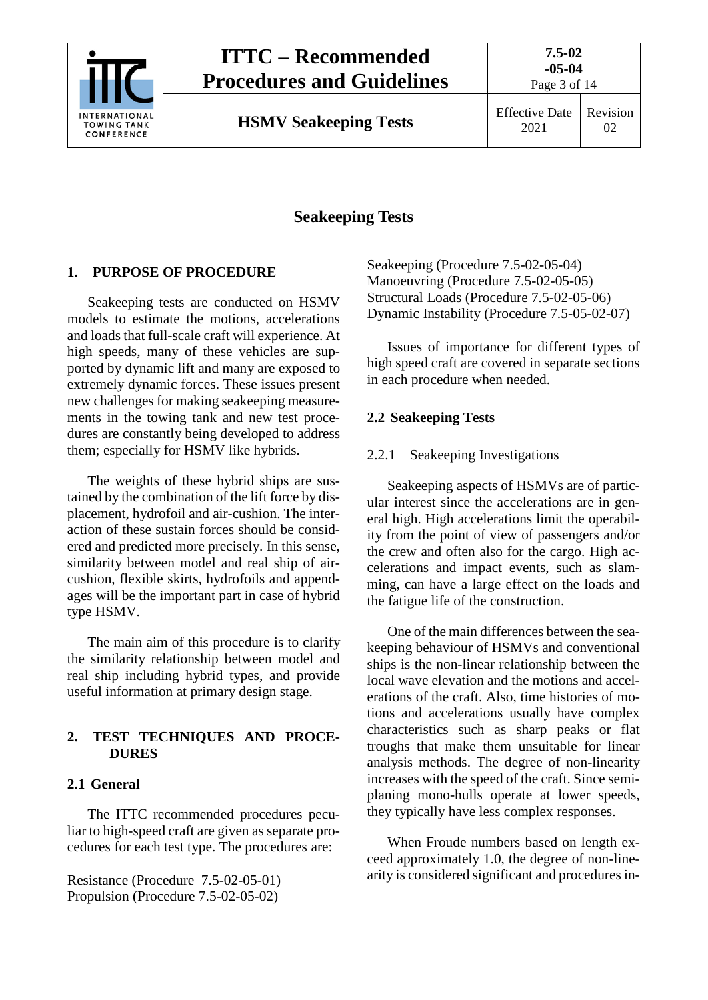

# **ITTC – Recommended Procedures and Guidelines**

Page 3 of 14

**HSMV Seakeeping Tests** Effective Date

# **Seakeeping Tests**

# <span id="page-2-0"></span>**1. PURPOSE OF PROCEDURE**

Seakeeping tests are conducted on HSMV models to estimate the motions, accelerations and loads that full-scale craft will experience. At high speeds, many of these vehicles are supported by dynamic lift and many are exposed to extremely dynamic forces. These issues present new challenges for making seakeeping measurements in the towing tank and new test procedures are constantly being developed to address them; especially for HSMV like hybrids.

The weights of these hybrid ships are sustained by the combination of the lift force by displacement, hydrofoil and air-cushion. The interaction of these sustain forces should be considered and predicted more precisely. In this sense, similarity between model and real ship of aircushion, flexible skirts, hydrofoils and appendages will be the important part in case of hybrid type HSMV.

The main aim of this procedure is to clarify the similarity relationship between model and real ship including hybrid types, and provide useful information at primary design stage.

## <span id="page-2-1"></span>**2. TEST TECHNIQUES AND PROCE-DURES**

## <span id="page-2-2"></span>**2.1 General**

The ITTC recommended procedures peculiar to high-speed craft are given as separate procedures for each test type. The procedures are:

Resistance (Procedure 7.5-02-05-01) Propulsion (Procedure 7.5-02-05-02)

Seakeeping (Procedure 7.5-02-05-04) Manoeuvring (Procedure 7.5-02-05-05) Structural Loads (Procedure 7.5-02-05-06) Dynamic Instability (Procedure 7.5-05-02-07)

Issues of importance for different types of high speed craft are covered in separate sections in each procedure when needed.

### <span id="page-2-4"></span><span id="page-2-3"></span>**2.2 Seakeeping Tests**

### 2.2.1 Seakeeping Investigations

Seakeeping aspects of HSMVs are of particular interest since the accelerations are in general high. High accelerations limit the operability from the point of view of passengers and/or the crew and often also for the cargo. High accelerations and impact events, such as slamming, can have a large effect on the loads and the fatigue life of the construction.

One of the main differences between the seakeeping behaviour of HSMVs and conventional ships is the non-linear relationship between the local wave elevation and the motions and accelerations of the craft. Also, time histories of motions and accelerations usually have complex characteristics such as sharp peaks or flat troughs that make them unsuitable for linear analysis methods. The degree of non-linearity increases with the speed of the craft. Since semiplaning mono-hulls operate at lower speeds, they typically have less complex responses.

When Froude numbers based on length exceed approximately 1.0, the degree of non-linearity is considered significant and procedures in-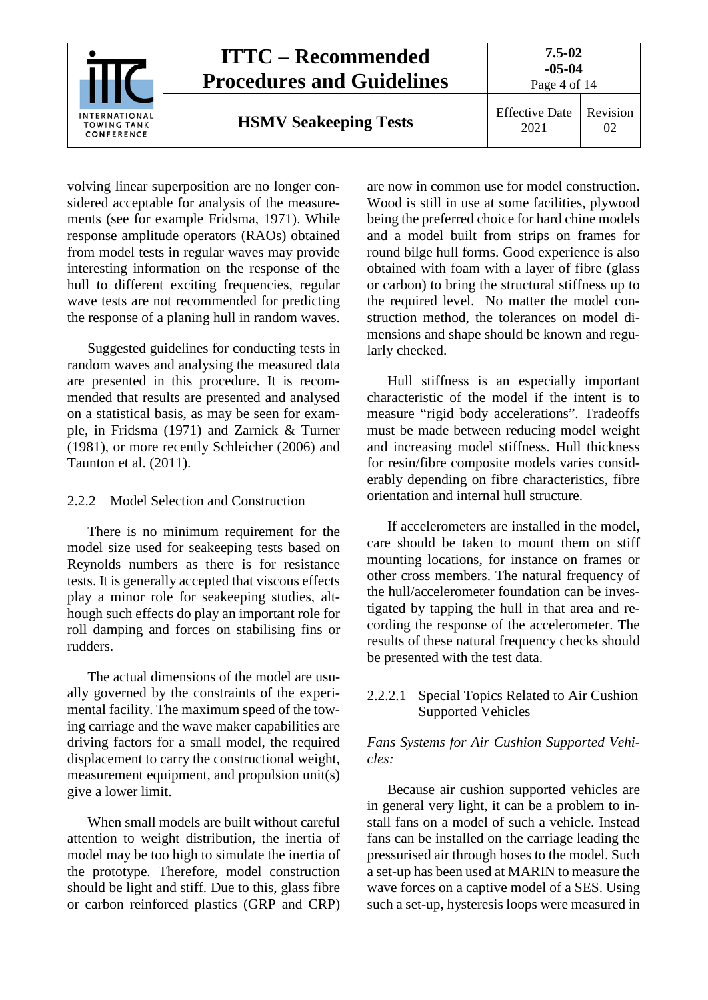

volving linear superposition are no longer considered acceptable for analysis of the measurements (see for example Fridsma, 1971). While response amplitude operators (RAOs) obtained from model tests in regular waves may provide interesting information on the response of the hull to different exciting frequencies, regular wave tests are not recommended for predicting the response of a planing hull in random waves.

Suggested guidelines for conducting tests in random waves and analysing the measured data are presented in this procedure. It is recommended that results are presented and analysed on a statistical basis, as may be seen for example, in Fridsma (1971) and Zarnick & Turner (1981), or more recently Schleicher (2006) and Taunton et al. (2011).

#### <span id="page-3-0"></span>2.2.2 Model Selection and Construction

There is no minimum requirement for the model size used for seakeeping tests based on Reynolds numbers as there is for resistance tests. It is generally accepted that viscous effects play a minor role for seakeeping studies, although such effects do play an important role for roll damping and forces on stabilising fins or rudders.

The actual dimensions of the model are usually governed by the constraints of the experimental facility. The maximum speed of the towing carriage and the wave maker capabilities are driving factors for a small model, the required displacement to carry the constructional weight, measurement equipment, and propulsion unit(s) give a lower limit.

When small models are built without careful attention to weight distribution, the inertia of model may be too high to simulate the inertia of the prototype. Therefore, model construction should be light and stiff. Due to this, glass fibre or carbon reinforced plastics (GRP and CRP)

are now in common use for model construction. Wood is still in use at some facilities, plywood being the preferred choice for hard chine models and a model built from strips on frames for round bilge hull forms. Good experience is also obtained with foam with a layer of fibre (glass or carbon) to bring the structural stiffness up to the required level. No matter the model construction method, the tolerances on model dimensions and shape should be known and regularly checked.

Hull stiffness is an especially important characteristic of the model if the intent is to measure "rigid body accelerations". Tradeoffs must be made between reducing model weight and increasing model stiffness. Hull thickness for resin/fibre composite models varies considerably depending on fibre characteristics, fibre orientation and internal hull structure.

If accelerometers are installed in the model, care should be taken to mount them on stiff mounting locations, for instance on frames or other cross members. The natural frequency of the hull/accelerometer foundation can be investigated by tapping the hull in that area and recording the response of the accelerometer. The results of these natural frequency checks should be presented with the test data.

#### <span id="page-3-1"></span>2.2.2.1 Special Topics Related to Air Cushion Supported Vehicles

#### *Fans Systems for Air Cushion Supported Vehicles:*

Because air cushion supported vehicles are in general very light, it can be a problem to install fans on a model of such a vehicle. Instead fans can be installed on the carriage leading the pressurised air through hoses to the model. Such a set-up has been used at MARIN to measure the wave forces on a captive model of a SES. Using such a set-up, hysteresis loops were measured in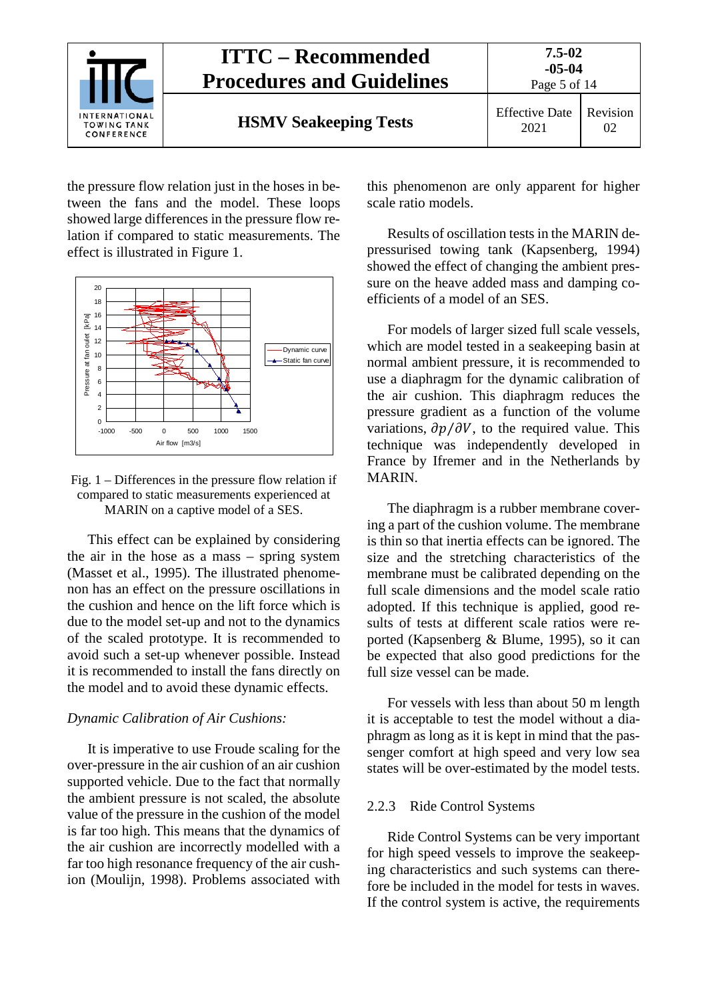

the pressure flow relation just in the hoses in between the fans and the model. These loops showed large differences in the pressure flow relation if compared to static measurements. The effect is illustrated in Figure 1.





This effect can be explained by considering the air in the hose as a mass – spring system (Masset et al., 1995). The illustrated phenomenon has an effect on the pressure oscillations in the cushion and hence on the lift force which is due to the model set-up and not to the dynamics of the scaled prototype. It is recommended to avoid such a set-up whenever possible. Instead it is recommended to install the fans directly on the model and to avoid these dynamic effects.

#### *Dynamic Calibration of Air Cushions:*

It is imperative to use Froude scaling for the over-pressure in the air cushion of an air cushion supported vehicle. Due to the fact that normally the ambient pressure is not scaled, the absolute value of the pressure in the cushion of the model is far too high. This means that the dynamics of the air cushion are incorrectly modelled with a far too high resonance frequency of the air cushion (Moulijn, 1998). Problems associated with

this phenomenon are only apparent for higher scale ratio models.

Results of oscillation tests in the MARIN depressurised towing tank (Kapsenberg, 1994) showed the effect of changing the ambient pressure on the heave added mass and damping coefficients of a model of an SES.

For models of larger sized full scale vessels, which are model tested in a seakeeping basin at normal ambient pressure, it is recommended to use a diaphragm for the dynamic calibration of the air cushion. This diaphragm reduces the pressure gradient as a function of the volume variations,  $\partial p/\partial V$ , to the required value. This technique was independently developed in France by Ifremer and in the Netherlands by MARIN.

The diaphragm is a rubber membrane covering a part of the cushion volume. The membrane is thin so that inertia effects can be ignored. The size and the stretching characteristics of the membrane must be calibrated depending on the full scale dimensions and the model scale ratio adopted. If this technique is applied, good results of tests at different scale ratios were reported (Kapsenberg & Blume, 1995), so it can be expected that also good predictions for the full size vessel can be made.

For vessels with less than about 50 m length it is acceptable to test the model without a diaphragm as long as it is kept in mind that the passenger comfort at high speed and very low sea states will be over-estimated by the model tests.

#### <span id="page-4-0"></span>2.2.3 Ride Control Systems

Ride Control Systems can be very important for high speed vessels to improve the seakeeping characteristics and such systems can therefore be included in the model for tests in waves. If the control system is active, the requirements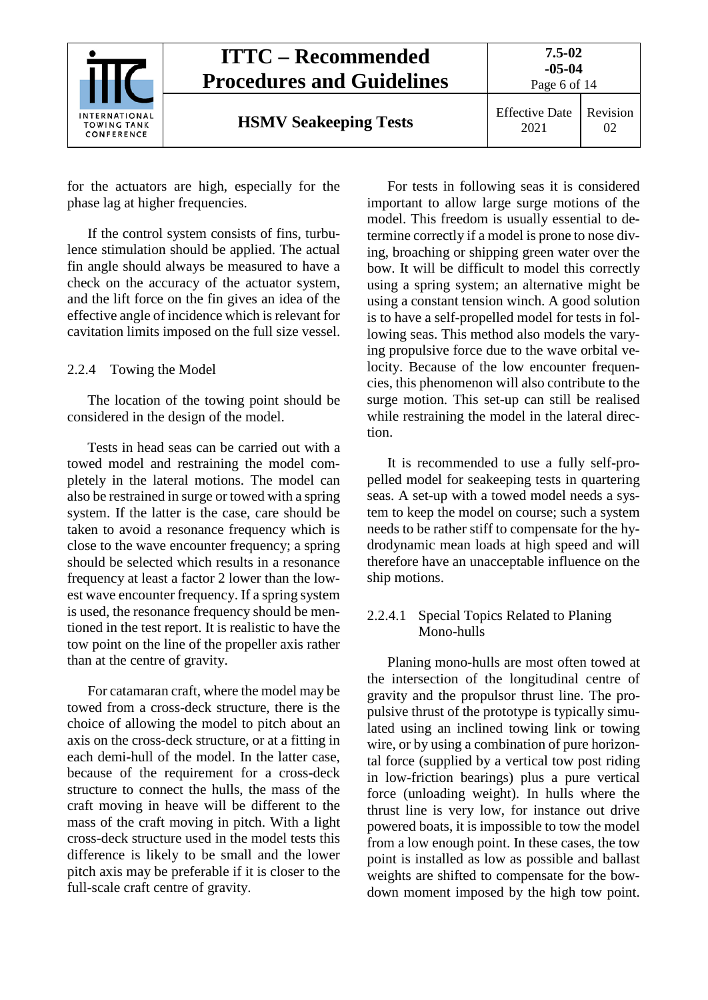

for the actuators are high, especially for the phase lag at higher frequencies.

If the control system consists of fins, turbulence stimulation should be applied. The actual fin angle should always be measured to have a check on the accuracy of the actuator system, and the lift force on the fin gives an idea of the effective angle of incidence which is relevant for cavitation limits imposed on the full size vessel.

#### <span id="page-5-0"></span>2.2.4 Towing the Model

The location of the towing point should be considered in the design of the model.

Tests in head seas can be carried out with a towed model and restraining the model completely in the lateral motions. The model can also be restrained in surge or towed with a spring system. If the latter is the case, care should be taken to avoid a resonance frequency which is close to the wave encounter frequency; a spring should be selected which results in a resonance frequency at least a factor 2 lower than the lowest wave encounter frequency. If a spring system is used, the resonance frequency should be mentioned in the test report. It is realistic to have the tow point on the line of the propeller axis rather than at the centre of gravity.

For catamaran craft, where the model may be towed from a cross-deck structure, there is the choice of allowing the model to pitch about an axis on the cross-deck structure, or at a fitting in each demi-hull of the model. In the latter case, because of the requirement for a cross-deck structure to connect the hulls, the mass of the craft moving in heave will be different to the mass of the craft moving in pitch. With a light cross-deck structure used in the model tests this difference is likely to be small and the lower pitch axis may be preferable if it is closer to the full-scale craft centre of gravity.

For tests in following seas it is considered important to allow large surge motions of the model. This freedom is usually essential to determine correctly if a model is prone to nose diving, broaching or shipping green water over the bow. It will be difficult to model this correctly using a spring system; an alternative might be using a constant tension winch. A good solution is to have a self-propelled model for tests in following seas. This method also models the varying propulsive force due to the wave orbital velocity. Because of the low encounter frequencies, this phenomenon will also contribute to the surge motion. This set-up can still be realised while restraining the model in the lateral direction.

It is recommended to use a fully self-propelled model for seakeeping tests in quartering seas. A set-up with a towed model needs a system to keep the model on course; such a system needs to be rather stiff to compensate for the hydrodynamic mean loads at high speed and will therefore have an unacceptable influence on the ship motions.

### <span id="page-5-1"></span>2.2.4.1 Special Topics Related to Planing Mono-hulls

Planing mono-hulls are most often towed at the intersection of the longitudinal centre of gravity and the propulsor thrust line. The propulsive thrust of the prototype is typically simulated using an inclined towing link or towing wire, or by using a combination of pure horizontal force (supplied by a vertical tow post riding in low-friction bearings) plus a pure vertical force (unloading weight). In hulls where the thrust line is very low, for instance out drive powered boats, it is impossible to tow the model from a low enough point. In these cases, the tow point is installed as low as possible and ballast weights are shifted to compensate for the bowdown moment imposed by the high tow point.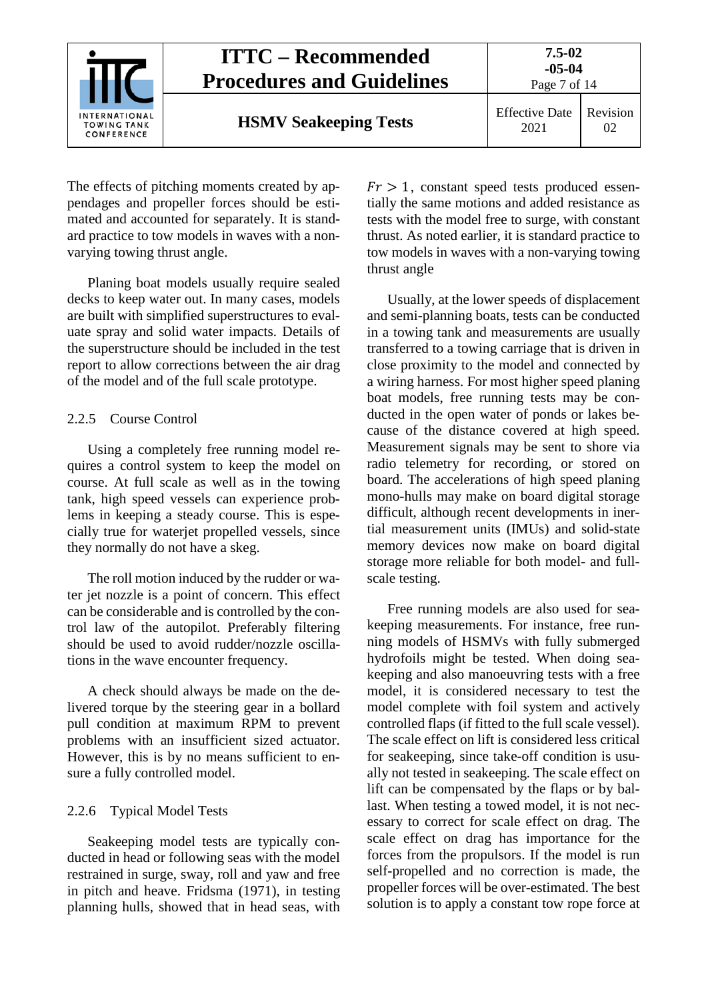

The effects of pitching moments created by appendages and propeller forces should be estimated and accounted for separately. It is standard practice to tow models in waves with a nonvarying towing thrust angle.

Planing boat models usually require sealed decks to keep water out. In many cases, models are built with simplified superstructures to evaluate spray and solid water impacts. Details of the superstructure should be included in the test report to allow corrections between the air drag of the model and of the full scale prototype.

### <span id="page-6-0"></span>2.2.5 Course Control

Using a completely free running model requires a control system to keep the model on course. At full scale as well as in the towing tank, high speed vessels can experience problems in keeping a steady course. This is especially true for waterjet propelled vessels, since they normally do not have a skeg.

The roll motion induced by the rudder or water jet nozzle is a point of concern. This effect can be considerable and is controlled by the control law of the autopilot. Preferably filtering should be used to avoid rudder/nozzle oscillations in the wave encounter frequency.

A check should always be made on the delivered torque by the steering gear in a bollard pull condition at maximum RPM to prevent problems with an insufficient sized actuator. However, this is by no means sufficient to ensure a fully controlled model.

#### <span id="page-6-1"></span>2.2.6 Typical Model Tests

Seakeeping model tests are typically conducted in head or following seas with the model restrained in surge, sway, roll and yaw and free in pitch and heave. Fridsma (1971), in testing planning hulls, showed that in head seas, with

 $Fr > 1$ , constant speed tests produced essentially the same motions and added resistance as tests with the model free to surge, with constant thrust. As noted earlier, it is standard practice to tow models in waves with a non-varying towing thrust angle

Usually, at the lower speeds of displacement and semi-planning boats, tests can be conducted in a towing tank and measurements are usually transferred to a towing carriage that is driven in close proximity to the model and connected by a wiring harness. For most higher speed planing boat models, free running tests may be conducted in the open water of ponds or lakes because of the distance covered at high speed. Measurement signals may be sent to shore via radio telemetry for recording, or stored on board. The accelerations of high speed planing mono-hulls may make on board digital storage difficult, although recent developments in inertial measurement units (IMUs) and solid-state memory devices now make on board digital storage more reliable for both model- and fullscale testing.

Free running models are also used for seakeeping measurements. For instance, free running models of HSMVs with fully submerged hydrofoils might be tested. When doing seakeeping and also manoeuvring tests with a free model, it is considered necessary to test the model complete with foil system and actively controlled flaps (if fitted to the full scale vessel). The scale effect on lift is considered less critical for seakeeping, since take-off condition is usually not tested in seakeeping. The scale effect on lift can be compensated by the flaps or by ballast. When testing a towed model, it is not necessary to correct for scale effect on drag. The scale effect on drag has importance for the forces from the propulsors. If the model is run self-propelled and no correction is made, the propeller forces will be over-estimated. The best solution is to apply a constant tow rope force at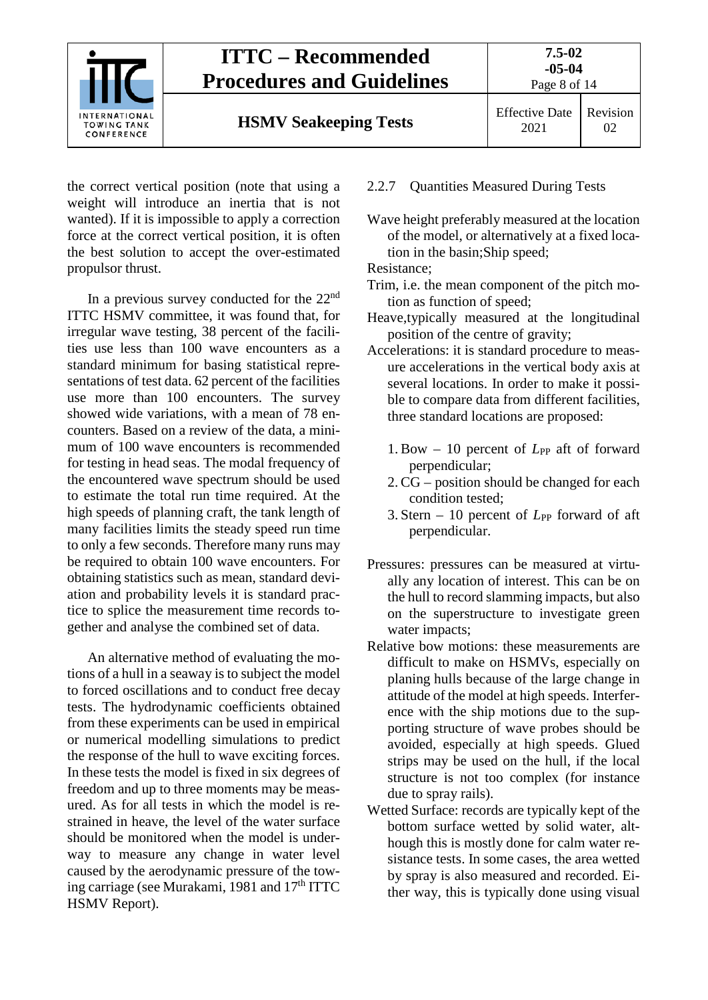

the correct vertical position (note that using a weight will introduce an inertia that is not wanted). If it is impossible to apply a correction force at the correct vertical position, it is often the best solution to accept the over-estimated propulsor thrust.

In a previous survey conducted for the  $22<sup>nd</sup>$ ITTC HSMV committee, it was found that, for irregular wave testing, 38 percent of the facilities use less than 100 wave encounters as a standard minimum for basing statistical representations of test data. 62 percent of the facilities use more than 100 encounters. The survey showed wide variations, with a mean of 78 encounters. Based on a review of the data, a minimum of 100 wave encounters is recommended for testing in head seas. The modal frequency of the encountered wave spectrum should be used to estimate the total run time required. At the high speeds of planning craft, the tank length of many facilities limits the steady speed run time to only a few seconds. Therefore many runs may be required to obtain 100 wave encounters. For obtaining statistics such as mean, standard deviation and probability levels it is standard practice to splice the measurement time records together and analyse the combined set of data.

An alternative method of evaluating the motions of a hull in a seaway is to subject the model to forced oscillations and to conduct free decay tests. The hydrodynamic coefficients obtained from these experiments can be used in empirical or numerical modelling simulations to predict the response of the hull to wave exciting forces. In these tests the model is fixed in six degrees of freedom and up to three moments may be measured. As for all tests in which the model is restrained in heave, the level of the water surface should be monitored when the model is underway to measure any change in water level caused by the aerodynamic pressure of the towing carriage (see Murakami, 1981 and 17<sup>th</sup> ITTC HSMV Report).

- <span id="page-7-0"></span>2.2.7 Quantities Measured During Tests
- Wave height preferably measured at the location of the model, or alternatively at a fixed location in the basin;Ship speed;

Resistance;

- Trim, i.e. the mean component of the pitch motion as function of speed;
- Heave,typically measured at the longitudinal position of the centre of gravity;
- Accelerations: it is standard procedure to measure accelerations in the vertical body axis at several locations. In order to make it possible to compare data from different facilities, three standard locations are proposed:
	- 1. Bow 10 percent of *L*<sub>PP</sub> aft of forward perpendicular;
	- 2. CG position should be changed for each condition tested;
	- 3. Stern 10 percent of *L*<sub>PP</sub> forward of aft perpendicular.
- Pressures: pressures can be measured at virtually any location of interest. This can be on the hull to record slamming impacts, but also on the superstructure to investigate green water impacts;
- Relative bow motions: these measurements are difficult to make on HSMVs, especially on planing hulls because of the large change in attitude of the model at high speeds. Interference with the ship motions due to the supporting structure of wave probes should be avoided, especially at high speeds. Glued strips may be used on the hull, if the local structure is not too complex (for instance due to spray rails).
- Wetted Surface: records are typically kept of the bottom surface wetted by solid water, although this is mostly done for calm water resistance tests. In some cases, the area wetted by spray is also measured and recorded. Either way, this is typically done using visual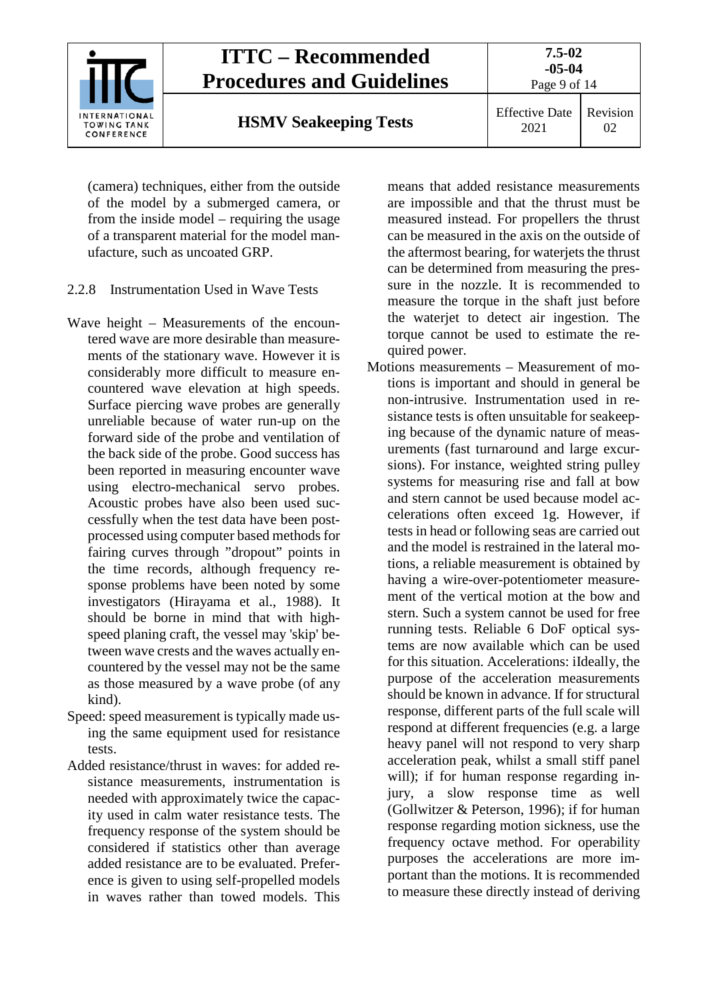

(camera) techniques, either from the outside of the model by a submerged camera, or from the inside model – requiring the usage of a transparent material for the model manufacture, such as uncoated GRP.

- <span id="page-8-0"></span>2.2.8 Instrumentation Used in Wave Tests
- Wave height Measurements of the encountered wave are more desirable than measurements of the stationary wave. However it is considerably more difficult to measure encountered wave elevation at high speeds. Surface piercing wave probes are generally unreliable because of water run-up on the forward side of the probe and ventilation of the back side of the probe. Good success has been reported in measuring encounter wave using electro-mechanical servo probes. Acoustic probes have also been used successfully when the test data have been postprocessed using computer based methods for fairing curves through "dropout" points in the time records, although frequency response problems have been noted by some investigators (Hirayama et al., 1988). It should be borne in mind that with highspeed planing craft, the vessel may 'skip' between wave crests and the waves actually encountered by the vessel may not be the same as those measured by a wave probe (of any kind).
- Speed: speed measurement is typically made using the same equipment used for resistance tests.
- Added resistance/thrust in waves: for added resistance measurements, instrumentation is needed with approximately twice the capacity used in calm water resistance tests. The frequency response of the system should be considered if statistics other than average added resistance are to be evaluated. Preference is given to using self-propelled models in waves rather than towed models. This

means that added resistance measurements are impossible and that the thrust must be measured instead. For propellers the thrust can be measured in the axis on the outside of the aftermost bearing, for waterjets the thrust can be determined from measuring the pressure in the nozzle. It is recommended to measure the torque in the shaft just before the waterjet to detect air ingestion. The torque cannot be used to estimate the required power.

Motions measurements – Measurement of motions is important and should in general be non-intrusive. Instrumentation used in resistance tests is often unsuitable for seakeeping because of the dynamic nature of measurements (fast turnaround and large excursions). For instance, weighted string pulley systems for measuring rise and fall at bow and stern cannot be used because model accelerations often exceed 1g. However, if tests in head or following seas are carried out and the model is restrained in the lateral motions, a reliable measurement is obtained by having a wire-over-potentiometer measurement of the vertical motion at the bow and stern. Such a system cannot be used for free running tests. Reliable 6 DoF optical systems are now available which can be used for this situation. Accelerations: iIdeally, the purpose of the acceleration measurements should be known in advance. If for structural response, different parts of the full scale will respond at different frequencies (e.g. a large heavy panel will not respond to very sharp acceleration peak, whilst a small stiff panel will); if for human response regarding injury, a slow response time as well (Gollwitzer & Peterson, 1996); if for human response regarding motion sickness, use the frequency octave method. For operability purposes the accelerations are more important than the motions. It is recommended to measure these directly instead of deriving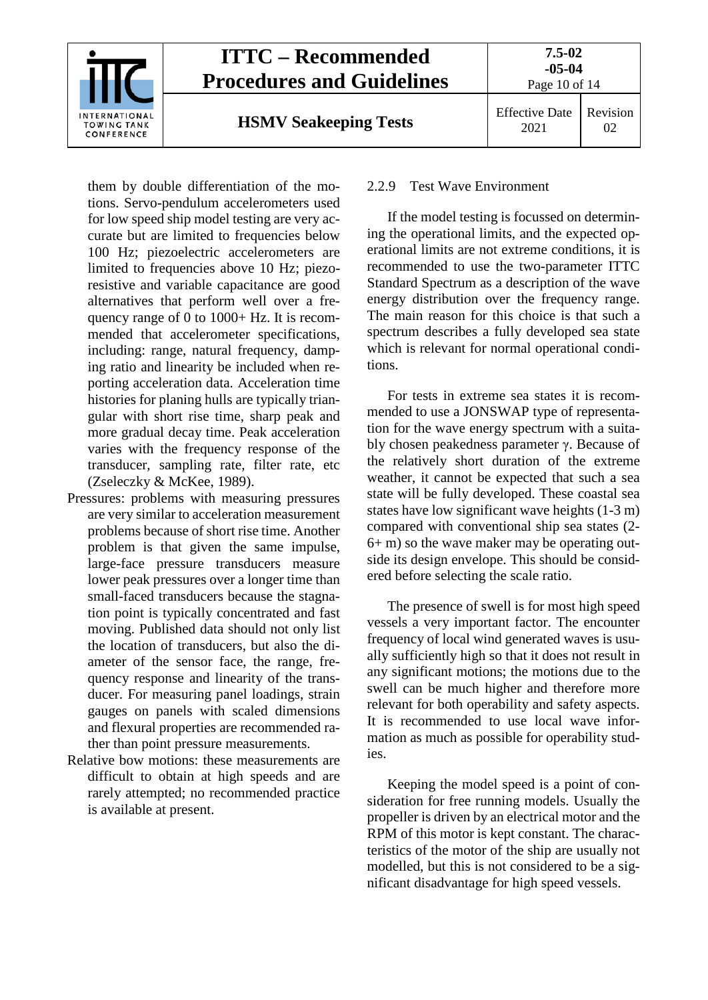

them by double differentiation of the motions. Servo-pendulum accelerometers used for low speed ship model testing are very accurate but are limited to frequencies below 100 Hz; piezoelectric accelerometers are limited to frequencies above 10 Hz; piezoresistive and variable capacitance are good alternatives that perform well over a frequency range of 0 to 1000+ Hz. It is recommended that accelerometer specifications, including: range, natural frequency, damping ratio and linearity be included when reporting acceleration data. Acceleration time histories for planing hulls are typically triangular with short rise time, sharp peak and more gradual decay time. Peak acceleration varies with the frequency response of the transducer, sampling rate, filter rate, etc (Zseleczky & McKee, 1989).

- Pressures: problems with measuring pressures are very similar to acceleration measurement problems because of short rise time. Another problem is that given the same impulse, large-face pressure transducers measure lower peak pressures over a longer time than small-faced transducers because the stagnation point is typically concentrated and fast moving. Published data should not only list the location of transducers, but also the diameter of the sensor face, the range, frequency response and linearity of the transducer. For measuring panel loadings, strain gauges on panels with scaled dimensions and flexural properties are recommended rather than point pressure measurements.
- Relative bow motions: these measurements are difficult to obtain at high speeds and are rarely attempted; no recommended practice is available at present.

#### <span id="page-9-0"></span>2.2.9 Test Wave Environment

If the model testing is focussed on determining the operational limits, and the expected operational limits are not extreme conditions, it is recommended to use the two-parameter ITTC Standard Spectrum as a description of the wave energy distribution over the frequency range. The main reason for this choice is that such a spectrum describes a fully developed sea state which is relevant for normal operational conditions.

For tests in extreme sea states it is recommended to use a JONSWAP type of representation for the wave energy spectrum with a suitably chosen peakedness parameter γ. Because of the relatively short duration of the extreme weather, it cannot be expected that such a sea state will be fully developed. These coastal sea states have low significant wave heights (1-3 m) compared with conventional ship sea states (2- 6+ m) so the wave maker may be operating outside its design envelope. This should be considered before selecting the scale ratio.

The presence of swell is for most high speed vessels a very important factor. The encounter frequency of local wind generated waves is usually sufficiently high so that it does not result in any significant motions; the motions due to the swell can be much higher and therefore more relevant for both operability and safety aspects. It is recommended to use local wave information as much as possible for operability studies.

Keeping the model speed is a point of consideration for free running models. Usually the propeller is driven by an electrical motor and the RPM of this motor is kept constant. The characteristics of the motor of the ship are usually not modelled, but this is not considered to be a significant disadvantage for high speed vessels.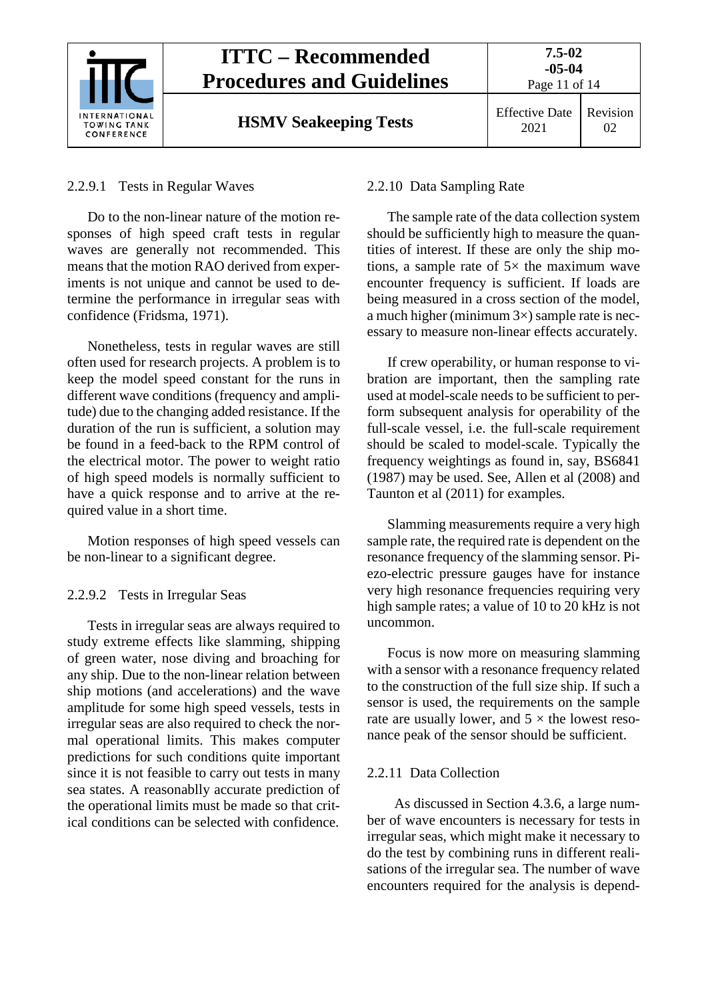

#### <span id="page-10-0"></span>2.2.9.1 Tests in Regular Waves

Do to the non-linear nature of the motion responses of high speed craft tests in regular waves are generally not recommended. This means that the motion RAO derived from experiments is not unique and cannot be used to determine the performance in irregular seas with confidence (Fridsma, 1971).

Nonetheless, tests in regular waves are still often used for research projects. A problem is to keep the model speed constant for the runs in different wave conditions (frequency and amplitude) due to the changing added resistance. If the duration of the run is sufficient, a solution may be found in a feed-back to the RPM control of the electrical motor. The power to weight ratio of high speed models is normally sufficient to have a quick response and to arrive at the required value in a short time.

Motion responses of high speed vessels can be non-linear to a significant degree.

#### <span id="page-10-1"></span>2.2.9.2 Tests in Irregular Seas

Tests in irregular seas are always required to study extreme effects like slamming, shipping of green water, nose diving and broaching for any ship. Due to the non-linear relation between ship motions (and accelerations) and the wave amplitude for some high speed vessels, tests in irregular seas are also required to check the normal operational limits. This makes computer predictions for such conditions quite important since it is not feasible to carry out tests in many sea states. A reasonablly accurate prediction of the operational limits must be made so that critical conditions can be selected with confidence.

#### <span id="page-10-2"></span>2.2.10 Data Sampling Rate

The sample rate of the data collection system should be sufficiently high to measure the quantities of interest. If these are only the ship motions, a sample rate of  $5\times$  the maximum wave encounter frequency is sufficient. If loads are being measured in a cross section of the model, a much higher (minimum  $3\times$ ) sample rate is necessary to measure non-linear effects accurately.

If crew operability, or human response to vibration are important, then the sampling rate used at model-scale needs to be sufficient to perform subsequent analysis for operability of the full-scale vessel, i.e. the full-scale requirement should be scaled to model-scale. Typically the frequency weightings as found in, say, BS6841 (1987) may be used. See, Allen et al (2008) and Taunton et al (2011) for examples.

Slamming measurements require a very high sample rate, the required rate is dependent on the resonance frequency of the slamming sensor. Piezo-electric pressure gauges have for instance very high resonance frequencies requiring very high sample rates; a value of 10 to 20 kHz is not uncommon.

Focus is now more on measuring slamming with a sensor with a resonance frequency related to the construction of the full size ship. If such a sensor is used, the requirements on the sample rate are usually lower, and  $5 \times$  the lowest resonance peak of the sensor should be sufficient.

#### <span id="page-10-3"></span>2.2.11 Data Collection

As discussed in Section 4.3.6, a large number of wave encounters is necessary for tests in irregular seas, which might make it necessary to do the test by combining runs in different realisations of the irregular sea. The number of wave encounters required for the analysis is depend-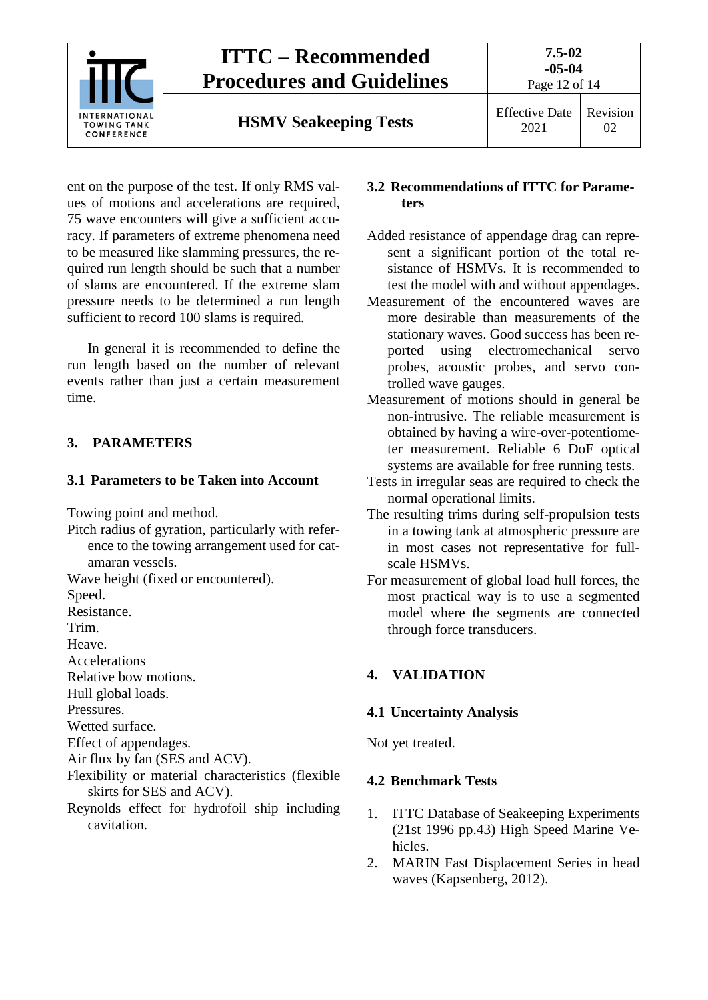

ent on the purpose of the test. If only RMS values of motions and accelerations are required, 75 wave encounters will give a sufficient accuracy. If parameters of extreme phenomena need to be measured like slamming pressures, the required run length should be such that a number of slams are encountered. If the extreme slam pressure needs to be determined a run length sufficient to record 100 slams is required.

In general it is recommended to define the run length based on the number of relevant events rather than just a certain measurement time.

## <span id="page-11-1"></span><span id="page-11-0"></span>**3. PARAMETERS**

### **3.1 Parameters to be Taken into Account**

Towing point and method.

Pitch radius of gyration, particularly with reference to the towing arrangement used for catamaran vessels.

Wave height (fixed or encountered).

Speed.

Resistance.

Trim.

Heave.

**Accelerations** 

Relative bow motions.

Hull global loads.

Pressures.

Wetted surface.

Effect of appendages.

Air flux by fan (SES and ACV).

Flexibility or material characteristics (flexible skirts for SES and ACV).

Reynolds effect for hydrofoil ship including cavitation.

#### <span id="page-11-2"></span>**3.2 Recommendations of ITTC for Parameters**

- Added resistance of appendage drag can represent a significant portion of the total resistance of HSMVs. It is recommended to test the model with and without appendages.
- Measurement of the encountered waves are more desirable than measurements of the stationary waves. Good success has been reported using electromechanical servo probes, acoustic probes, and servo controlled wave gauges.
- Measurement of motions should in general be non-intrusive. The reliable measurement is obtained by having a wire-over-potentiometer measurement. Reliable 6 DoF optical systems are available for free running tests.
- Tests in irregular seas are required to check the normal operational limits.
- The resulting trims during self-propulsion tests in a towing tank at atmospheric pressure are in most cases not representative for fullscale HSMVs.
- For measurement of global load hull forces, the most practical way is to use a segmented model where the segments are connected through force transducers.

# <span id="page-11-4"></span><span id="page-11-3"></span>**4. VALIDATION**

## **4.1 Uncertainty Analysis**

<span id="page-11-5"></span>Not yet treated.

## **4.2 Benchmark Tests**

- 1. ITTC Database of Seakeeping Experiments (21st 1996 pp.43) High Speed Marine Vehicles.
- 2. MARIN Fast Displacement Series in head waves (Kapsenberg, 2012).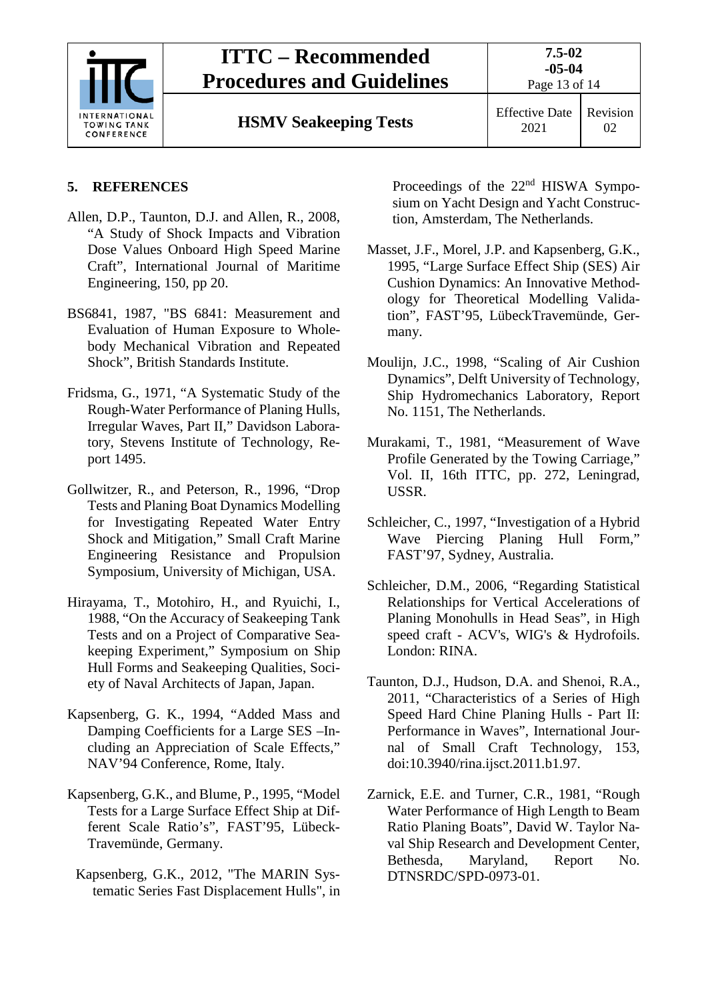

# **ITTC – Recommended Procedures and Guidelines**

Page 13 of 14

**HSMV Seakeeping Tests** Effective Date

## <span id="page-12-0"></span>**5. REFERENCES**

- Allen, D.P., Taunton, D.J. and Allen, R., 2008, "A Study of Shock Impacts and Vibration Dose Values Onboard High Speed Marine Craft", International Journal of Maritime Engineering, 150, pp 20.
- BS6841, 1987, "BS 6841: Measurement and Evaluation of Human Exposure to Wholebody Mechanical Vibration and Repeated Shock", British Standards Institute.
- Fridsma, G., 1971, "A Systematic Study of the Rough-Water Performance of Planing Hulls, Irregular Waves, Part II," Davidson Laboratory, Stevens Institute of Technology, Report 1495.
- Gollwitzer, R., and Peterson, R., 1996, "Drop Tests and Planing Boat Dynamics Modelling for Investigating Repeated Water Entry Shock and Mitigation," Small Craft Marine Engineering Resistance and Propulsion Symposium, University of Michigan, USA.
- Hirayama, T., Motohiro, H., and Ryuichi, I., 1988, "On the Accuracy of Seakeeping Tank Tests and on a Project of Comparative Seakeeping Experiment," Symposium on Ship Hull Forms and Seakeeping Qualities, Society of Naval Architects of Japan, Japan.
- Kapsenberg, G. K., 1994, "Added Mass and Damping Coefficients for a Large SES –Including an Appreciation of Scale Effects," NAV'94 Conference, Rome, Italy.
- Kapsenberg, G.K., and Blume, P., 1995, "Model Tests for a Large Surface Effect Ship at Different Scale Ratio's", FAST'95, Lübeck-Travemünde, Germany.
- Kapsenberg, G.K., 2012, "The MARIN Systematic Series Fast Displacement Hulls", in

Proceedings of the 22<sup>nd</sup> HISWA Symposium on Yacht Design and Yacht Construction, Amsterdam, The Netherlands.

- Masset, J.F., Morel, J.P. and Kapsenberg, G.K., 1995, "Large Surface Effect Ship (SES) Air Cushion Dynamics: An Innovative Methodology for Theoretical Modelling Validation", FAST'95, LübeckTravemünde, Germany.
- Moulijn, J.C., 1998, "Scaling of Air Cushion Dynamics", Delft University of Technology, Ship Hydromechanics Laboratory, Report No. 1151, The Netherlands.
- Murakami, T., 1981, "Measurement of Wave Profile Generated by the Towing Carriage," Vol. II, 16th ITTC, pp. 272, Leningrad, USSR.
- Schleicher, C., 1997, "Investigation of a Hybrid Wave Piercing Planing Hull Form," FAST'97, Sydney, Australia.
- Schleicher, D.M., 2006, "Regarding Statistical Relationships for Vertical Accelerations of Planing Monohulls in Head Seas", in High speed craft - ACV's, WIG's & Hydrofoils. London: RINA.
- Taunton, D.J., Hudson, D.A. and Shenoi, R.A., 2011, "Characteristics of a Series of High Speed Hard Chine Planing Hulls - Part II: Performance in Waves", International Journal of Small Craft Technology, 153, doi:10.3940/rina.ijsct.2011.b1.97.
- Zarnick, E.E. and Turner, C.R., 1981, "Rough Water Performance of High Length to Beam Ratio Planing Boats", David W. Taylor Naval Ship Research and Development Center, Bethesda, Maryland, Report No. DTNSRDC/SPD-0973-01.